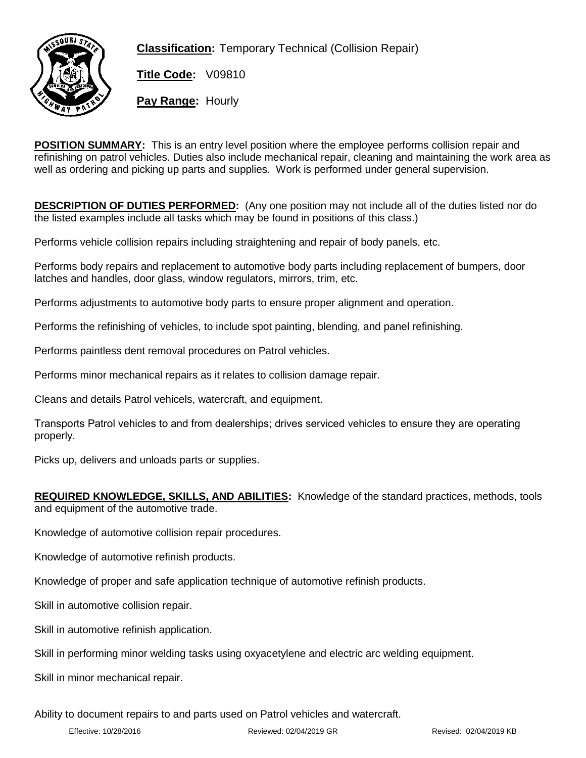

**Classification:** Temporary Technical (Collision Repair)

**Title Code:** V09810

**Pay Range:** Hourly

**POSITION SUMMARY:** This is an entry level position where the employee performs collision repair and refinishing on patrol vehicles. Duties also include mechanical repair, cleaning and maintaining the work area as well as ordering and picking up parts and supplies. Work is performed under general supervision.

**DESCRIPTION OF DUTIES PERFORMED:** (Any one position may not include all of the duties listed nor do the listed examples include all tasks which may be found in positions of this class.)

Performs vehicle collision repairs including straightening and repair of body panels, etc.

Performs body repairs and replacement to automotive body parts including replacement of bumpers, door latches and handles, door glass, window regulators, mirrors, trim, etc.

Performs adjustments to automotive body parts to ensure proper alignment and operation.

Performs the refinishing of vehicles, to include spot painting, blending, and panel refinishing.

Performs paintless dent removal procedures on Patrol vehicles.

Performs minor mechanical repairs as it relates to collision damage repair.

Cleans and details Patrol vehicels, watercraft, and equipment.

Transports Patrol vehicles to and from dealerships; drives serviced vehicles to ensure they are operating properly.

Picks up, delivers and unloads parts or supplies.

**REQUIRED KNOWLEDGE, SKILLS, AND ABILITIES:** Knowledge of the standard practices, methods, tools and equipment of the automotive trade.

Knowledge of automotive collision repair procedures.

Knowledge of automotive refinish products.

Knowledge of proper and safe application technique of automotive refinish products.

Skill in automotive collision repair.

Skill in automotive refinish application.

Skill in performing minor welding tasks using oxyacetylene and electric arc welding equipment.

Skill in minor mechanical repair.

Ability to document repairs to and parts used on Patrol vehicles and watercraft.

Effective: 10/28/2016 Reviewed: 02/04/2019 GR Revised: 02/04/2019 KB